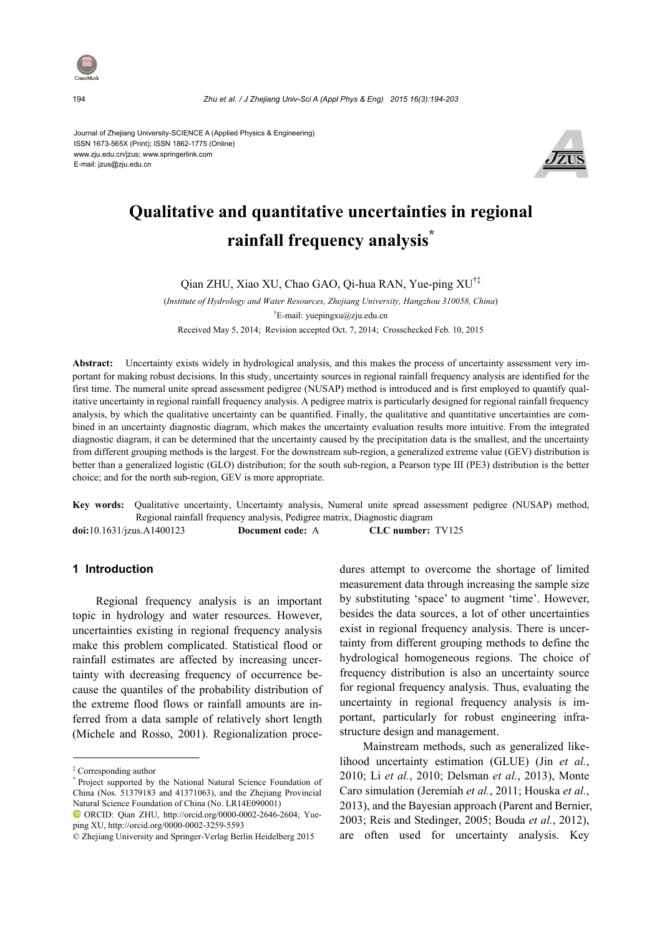

194 *Zhu et al. / J Zhejiang Univ-Sci A (Appl Phys & Eng) 2015 16(3):194-203*

Journal of Zhejiang University-SCIENCE A (Applied Physics & Engineering) ISSN 1673-565X (Print); ISSN 1862-1775 (Online) www.zju.edu.cn/jzus; www.springerlink.com E-mail: jzus@zju.edu.cn



# **Qualitative and quantitative uncertainties in regional rainfall frequency analysis\***

Qian ZHU, Xiao XU, Chao GAO, Qi-hua RAN, Yue-ping XU†‡

(*Institute of Hydrology and Water Resources, Zhejiang University, Hangzhou 310058, China*) † E-mail: yuepingxu@zju.edu.cn Received May 5, 2014; Revision accepted Oct. 7, 2014; Crosschecked Feb. 10, 2015

**Abstract:** Uncertainty exists widely in hydrological analysis, and this makes the process of uncertainty assessment very important for making robust decisions. In this study, uncertainty sources in regional rainfall frequency analysis are identified for the first time. The numeral unite spread assessment pedigree (NUSAP) method is introduced and is first employed to quantify qualitative uncertainty in regional rainfall frequency analysis. A pedigree matrix is particularly designed for regional rainfall frequency analysis, by which the qualitative uncertainty can be quantified. Finally, the qualitative and quantitative uncertainties are combined in an uncertainty diagnostic diagram, which makes the uncertainty evaluation results more intuitive. From the integrated diagnostic diagram, it can be determined that the uncertainty caused by the precipitation data is the smallest, and the uncertainty from different grouping methods is the largest. For the downstream sub-region, a generalized extreme value (GEV) distribution is better than a generalized logistic (GLO) distribution; for the south sub-region, a Pearson type III (PE3) distribution is the better choice; and for the north sub-region, GEV is more appropriate.

**Key words:** Qualitative uncertainty, Uncertainty analysis, Numeral unite spread assessment pedigree (NUSAP) method, Regional rainfall frequency analysis, Pedigree matrix, Diagnostic diagram **doi:**10.1631/jzus.A1400123 **Document code:** A **CLC number:** TV125

# **1 Introduction**

Regional frequency analysis is an important topic in hydrology and water resources. However, uncertainties existing in regional frequency analysis make this problem complicated. Statistical flood or rainfall estimates are affected by increasing uncertainty with decreasing frequency of occurrence because the quantiles of the probability distribution of the extreme flood flows or rainfall amounts are inferred from a data sample of relatively short length (Michele and Rosso, 2001). Regionalization procedures attempt to overcome the shortage of limited measurement data through increasing the sample size by substituting 'space' to augment 'time'. However, besides the data sources, a lot of other uncertainties exist in regional frequency analysis. There is uncertainty from different grouping methods to define the hydrological homogeneous regions. The choice of frequency distribution is also an uncertainty source for regional frequency analysis. Thus, evaluating the uncertainty in regional frequency analysis is important, particularly for robust engineering infrastructure design and management.

Mainstream methods, such as generalized likelihood uncertainty estimation (GLUE) (Jin *et al.*, 2010; Li *et al.*, 2010; Delsman *et al.*, 2013), Monte Caro simulation (Jeremiah *et al.*, 2011; Houska *et al.*, 2013), and the Bayesian approach (Parent and Bernier, 2003; Reis and Stedinger, 2005; Bouda *et al.*, 2012), are often used for uncertainty analysis. Key

<sup>‡</sup> Corresponding author

<sup>\*</sup> Project supported by the National Natural Science Foundation of China (Nos. 51379183 and 41371063), and the Zhejiang Provincial Natural Science Foundation of China (No. LR14E090001)

ORCID: Qian ZHU, http://orcid.org/0000-0002-2646-2604; Yueping XU, http://orcid.org/0000-0002-3259-5593

<sup>©</sup> Zhejiang University and Springer-Verlag Berlin Heidelberg 2015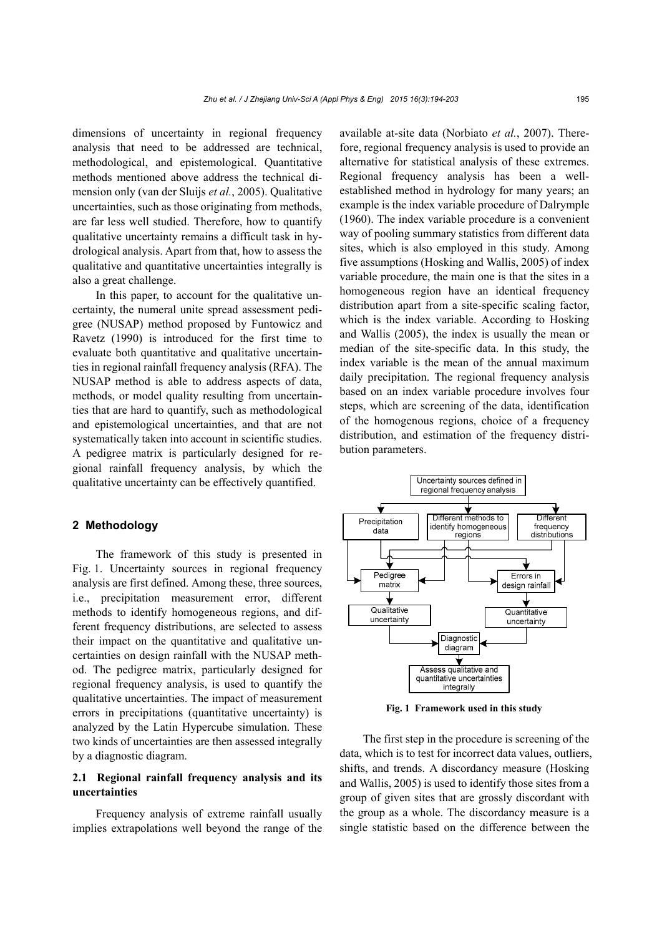dimensions of uncertainty in regional frequency analysis that need to be addressed are technical, methodological, and epistemological. Quantitative methods mentioned above address the technical dimension only (van der Sluijs *et al.*, 2005). Qualitative uncertainties, such as those originating from methods, are far less well studied. Therefore, how to quantify qualitative uncertainty remains a difficult task in hydrological analysis. Apart from that, how to assess the qualitative and quantitative uncertainties integrally is also a great challenge.

In this paper, to account for the qualitative uncertainty, the numeral unite spread assessment pedigree (NUSAP) method proposed by Funtowicz and Ravetz (1990) is introduced for the first time to evaluate both quantitative and qualitative uncertainties in regional rainfall frequency analysis (RFA). The NUSAP method is able to address aspects of data, methods, or model quality resulting from uncertainties that are hard to quantify, such as methodological and epistemological uncertainties, and that are not systematically taken into account in scientific studies. A pedigree matrix is particularly designed for regional rainfall frequency analysis, by which the qualitative uncertainty can be effectively quantified.

### **2 Methodology**

The framework of this study is presented in Fig. 1. Uncertainty sources in regional frequency analysis are first defined. Among these, three sources, i.e., precipitation measurement error, different methods to identify homogeneous regions, and different frequency distributions, are selected to assess their impact on the quantitative and qualitative uncertainties on design rainfall with the NUSAP method. The pedigree matrix, particularly designed for regional frequency analysis, is used to quantify the qualitative uncertainties. The impact of measurement errors in precipitations (quantitative uncertainty) is analyzed by the Latin Hypercube simulation. These two kinds of uncertainties are then assessed integrally by a diagnostic diagram.

# **2.1 Regional rainfall frequency analysis and its uncertainties**

Frequency analysis of extreme rainfall usually implies extrapolations well beyond the range of the available at-site data (Norbiato *et al.*, 2007). Therefore, regional frequency analysis is used to provide an alternative for statistical analysis of these extremes. Regional frequency analysis has been a wellestablished method in hydrology for many years; an example is the index variable procedure of Dalrymple (1960). The index variable procedure is a convenient way of pooling summary statistics from different data sites, which is also employed in this study. Among five assumptions (Hosking and Wallis, 2005) of index variable procedure, the main one is that the sites in a homogeneous region have an identical frequency distribution apart from a site-specific scaling factor, which is the index variable. According to Hosking and Wallis (2005), the index is usually the mean or median of the site-specific data. In this study, the index variable is the mean of the annual maximum daily precipitation. The regional frequency analysis based on an index variable procedure involves four steps, which are screening of the data, identification of the homogenous regions, choice of a frequency distribution, and estimation of the frequency distribution parameters.



**Fig. 1 Framework used in this study**

The first step in the procedure is screening of the data, which is to test for incorrect data values, outliers, shifts, and trends. A discordancy measure (Hosking and Wallis, 2005) is used to identify those sites from a group of given sites that are grossly discordant with the group as a whole. The discordancy measure is a single statistic based on the difference between the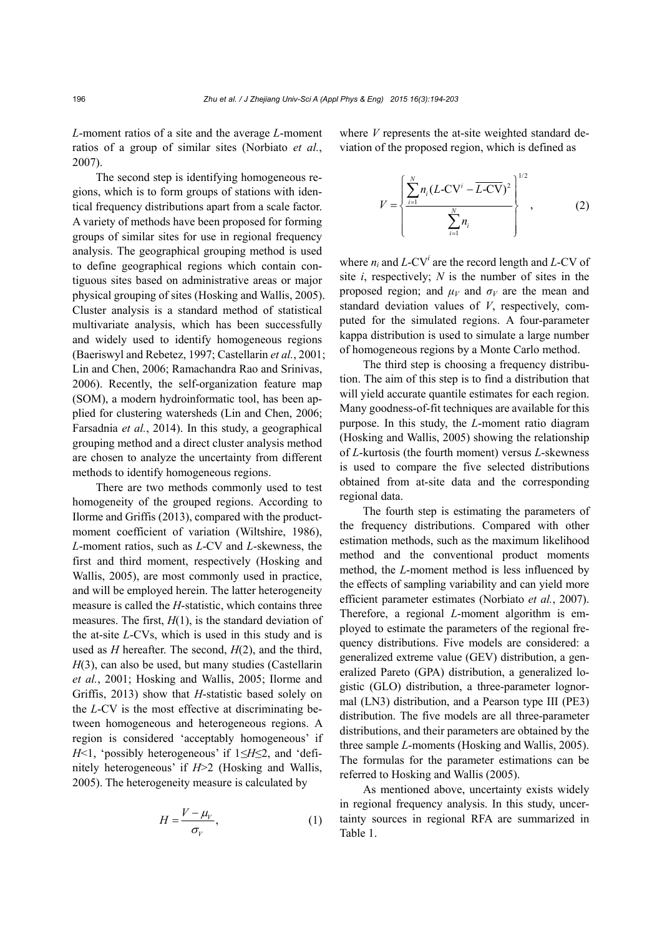*L*-moment ratios of a site and the average *L*-moment ratios of a group of similar sites (Norbiato *et al.*, 2007).

The second step is identifying homogeneous regions, which is to form groups of stations with identical frequency distributions apart from a scale factor. A variety of methods have been proposed for forming groups of similar sites for use in regional frequency analysis. The geographical grouping method is used to define geographical regions which contain contiguous sites based on administrative areas or major physical grouping of sites (Hosking and Wallis, 2005). Cluster analysis is a standard method of statistical multivariate analysis, which has been successfully and widely used to identify homogeneous regions (Baeriswyl and Rebetez, 1997; Castellarin *et al.*, 2001; Lin and Chen, 2006; Ramachandra Rao and Srinivas, 2006). Recently, the self-organization feature map (SOM), a modern hydroinformatic tool, has been applied for clustering watersheds (Lin and Chen, 2006; Farsadnia *et al.*, 2014). In this study, a geographical grouping method and a direct cluster analysis method are chosen to analyze the uncertainty from different methods to identify homogeneous regions.

There are two methods commonly used to test homogeneity of the grouped regions. According to Ilorme and Griffis (2013), compared with the productmoment coefficient of variation (Wiltshire, 1986), *L*-moment ratios, such as *L*-CV and *L*-skewness, the first and third moment, respectively (Hosking and Wallis, 2005), are most commonly used in practice, and will be employed herein. The latter heterogeneity measure is called the *H*-statistic, which contains three measures. The first, *H*(1), is the standard deviation of the at-site *L*-CVs, which is used in this study and is used as *H* hereafter. The second, *H*(2), and the third, *H*(3), can also be used, but many studies (Castellarin *et al.*, 2001; Hosking and Wallis, 2005; Ilorme and Griffis, 2013) show that *H*-statistic based solely on the *L*-CV is the most effective at discriminating between homogeneous and heterogeneous regions. A region is considered 'acceptably homogeneous' if *H*<1, 'possibly heterogeneous' if 1*≤H*≤2, and 'definitely heterogeneous' if *H*>2 (Hosking and Wallis, 2005). The heterogeneity measure is calculated by

$$
H = \frac{V - \mu_V}{\sigma_V},\tag{1}
$$

where *V* represents the at-site weighted standard deviation of the proposed region, which is defined as

$$
V = \left\{ \frac{\sum_{i=1}^{N} n_i (L - CV^i - \overline{L - CV})^2}{\sum_{i=1}^{N} n_i} \right\}^{1/2},
$$
 (2)

where  $n_i$  and  $L$ -CV<sup>*i*</sup> are the record length and  $L$ -CV of site *i*, respectively; *N* is the number of sites in the proposed region; and  $\mu_V$  and  $\sigma_V$  are the mean and standard deviation values of *V*, respectively, computed for the simulated regions. A four-parameter kappa distribution is used to simulate a large number of homogeneous regions by a Monte Carlo method.

The third step is choosing a frequency distribution. The aim of this step is to find a distribution that will yield accurate quantile estimates for each region. Many goodness-of-fit techniques are available for this purpose. In this study, the *L*-moment ratio diagram (Hosking and Wallis, 2005) showing the relationship of *L*-kurtosis (the fourth moment) versus *L*-skewness is used to compare the five selected distributions obtained from at-site data and the corresponding regional data.

The fourth step is estimating the parameters of the frequency distributions. Compared with other estimation methods, such as the maximum likelihood method and the conventional product moments method, the *L*-moment method is less influenced by the effects of sampling variability and can yield more efficient parameter estimates (Norbiato *et al.*, 2007). Therefore, a regional *L*-moment algorithm is employed to estimate the parameters of the regional frequency distributions. Five models are considered: a generalized extreme value (GEV) distribution, a generalized Pareto (GPA) distribution, a generalized logistic (GLO) distribution, a three-parameter lognormal (LN3) distribution, and a Pearson type III (PE3) distribution. The five models are all three-parameter distributions, and their parameters are obtained by the three sample *L*-moments (Hosking and Wallis, 2005). The formulas for the parameter estimations can be referred to Hosking and Wallis (2005).

As mentioned above, uncertainty exists widely in regional frequency analysis. In this study, uncertainty sources in regional RFA are summarized in Table 1.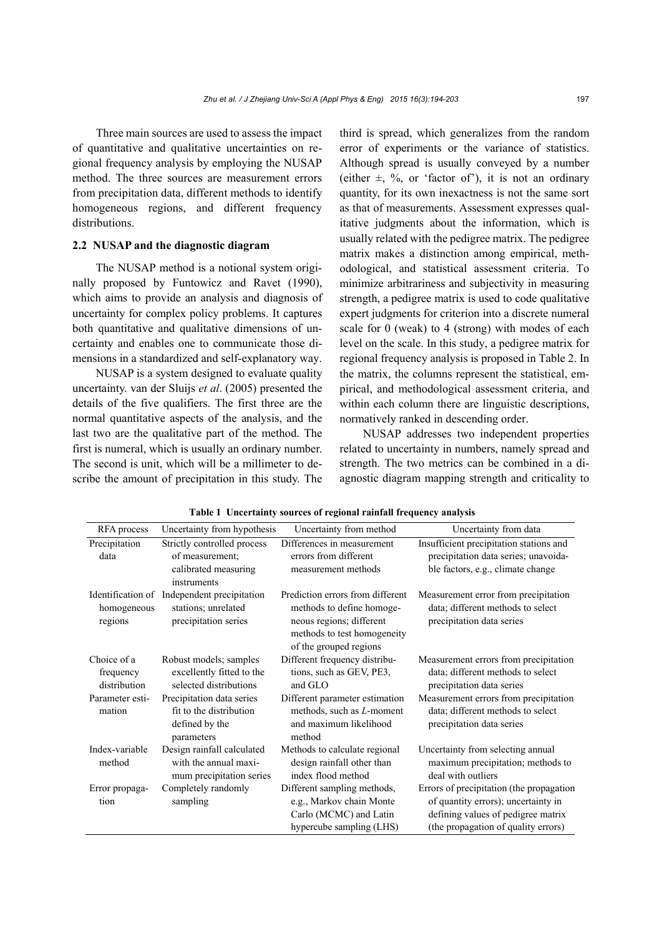Three main sources are used to assess the impact of quantitative and qualitative uncertainties on regional frequency analysis by employing the NUSAP method. The three sources are measurement errors from precipitation data, different methods to identify homogeneous regions, and different frequency distributions.

#### **2.2 NUSAP and the diagnostic diagram**

The NUSAP method is a notional system originally proposed by Funtowicz and Ravet (1990), which aims to provide an analysis and diagnosis of uncertainty for complex policy problems. It captures both quantitative and qualitative dimensions of uncertainty and enables one to communicate those dimensions in a standardized and self-explanatory way.

NUSAP is a system designed to evaluate quality uncertainty. van der Sluijs *et al*. (2005) presented the details of the five qualifiers. The first three are the normal quantitative aspects of the analysis, and the last two are the qualitative part of the method. The first is numeral, which is usually an ordinary number. The second is unit, which will be a millimeter to describe the amount of precipitation in this study. The third is spread, which generalizes from the random error of experiments or the variance of statistics. Although spread is usually conveyed by a number (either  $\pm$ , %, or 'factor of'), it is not an ordinary quantity, for its own inexactness is not the same sort as that of measurements. Assessment expresses qualitative judgments about the information, which is usually related with the pedigree matrix. The pedigree matrix makes a distinction among empirical, methodological, and statistical assessment criteria. To minimize arbitrariness and subjectivity in measuring strength, a pedigree matrix is used to code qualitative expert judgments for criterion into a discrete numeral scale for 0 (weak) to 4 (strong) with modes of each level on the scale. In this study, a pedigree matrix for regional frequency analysis is proposed in Table 2. In the matrix, the columns represent the statistical, empirical, and methodological assessment criteria, and within each column there are linguistic descriptions, normatively ranked in descending order.

NUSAP addresses two independent properties related to uncertainty in numbers, namely spread and strength. The two metrics can be combined in a diagnostic diagram mapping strength and criticality to

| RFA process                              | Uncertainty from hypothesis                                                                | Uncertainty from method                                                                                                                            | Uncertainty from data                                                                                                                                        |
|------------------------------------------|--------------------------------------------------------------------------------------------|----------------------------------------------------------------------------------------------------------------------------------------------------|--------------------------------------------------------------------------------------------------------------------------------------------------------------|
| Precipitation<br>data                    | Strictly controlled process<br>of measurement:<br>calibrated measuring<br>instruments      | Differences in measurement<br>errors from different<br>measurement methods                                                                         | Insufficient precipitation stations and<br>precipitation data series; unavoida-<br>ble factors, e.g., climate change                                         |
| homogeneous<br>regions                   | Identification of Independent precipitation<br>stations; unrelated<br>precipitation series | Prediction errors from different<br>methods to define homoge-<br>neous regions; different<br>methods to test homogeneity<br>of the grouped regions | Measurement error from precipitation<br>data; different methods to select<br>precipitation data series                                                       |
| Choice of a<br>frequency<br>distribution | Robust models; samples<br>excellently fitted to the<br>selected distributions              | Different frequency distribu-<br>tions, such as GEV, PE3,<br>and GLO                                                                               | Measurement errors from precipitation<br>data; different methods to select<br>precipitation data series                                                      |
| Parameter esti-<br>mation                | Precipitation data series<br>fit to the distribution<br>defined by the<br>parameters       | Different parameter estimation<br>methods, such as L-moment<br>and maximum likelihood<br>method                                                    | Measurement errors from precipitation<br>data; different methods to select<br>precipitation data series                                                      |
| Index-variable<br>method                 | Design rainfall calculated<br>with the annual maxi-<br>mum precipitation series            | Methods to calculate regional<br>design rainfall other than<br>index flood method                                                                  | Uncertainty from selecting annual<br>maximum precipitation; methods to<br>deal with outliers                                                                 |
| Error propaga-<br>tion                   | Completely randomly<br>sampling                                                            | Different sampling methods,<br>e.g., Markov chain Monte<br>Carlo (MCMC) and Latin<br>hypercube sampling (LHS)                                      | Errors of precipitation (the propagation<br>of quantity errors); uncertainty in<br>defining values of pedigree matrix<br>(the propagation of quality errors) |

**Table 1 Uncertainty sources of regional rainfall frequency analysis**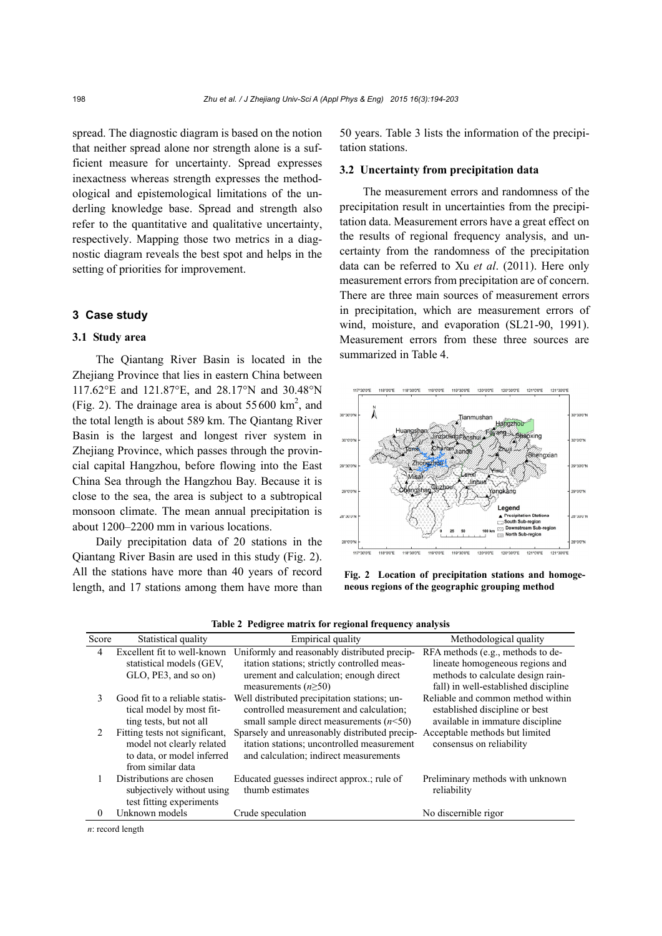spread. The diagnostic diagram is based on the notion that neither spread alone nor strength alone is a sufficient measure for uncertainty. Spread expresses inexactness whereas strength expresses the methodological and epistemological limitations of the underling knowledge base. Spread and strength also refer to the quantitative and qualitative uncertainty, respectively. Mapping those two metrics in a diagnostic diagram reveals the best spot and helps in the setting of priorities for improvement.

#### **3 Case study**

### **3.1 Study area**

The Qiantang River Basin is located in the Zhejiang Province that lies in eastern China between 117.62°E and 121.87°E, and 28.17°N and 30.48°N (Fig. 2). The drainage area is about  $55600 \text{ km}^2$ , and the total length is about 589 km. The Qiantang River Basin is the largest and longest river system in Zhejiang Province, which passes through the provincial capital Hangzhou, before flowing into the East China Sea through the Hangzhou Bay. Because it is close to the sea, the area is subject to a subtropical monsoon climate. The mean annual precipitation is about 1200–2200 mm in various locations.

Daily precipitation data of 20 stations in the Qiantang River Basin are used in this study (Fig. 2). All the stations have more than 40 years of record length, and 17 stations among them have more than

50 years. Table 3 lists the information of the precipitation stations.

#### **3.2 Uncertainty from precipitation data**

The measurement errors and randomness of the precipitation result in uncertainties from the precipitation data. Measurement errors have a great effect on the results of regional frequency analysis, and uncertainty from the randomness of the precipitation data can be referred to Xu *et al*. (2011). Here only measurement errors from precipitation are of concern. There are three main sources of measurement errors in precipitation, which are measurement errors of wind, moisture, and evaporation (SL21-90, 1991). Measurement errors from these three sources are summarized in Table 4.



**Fig. 2 Location of precipitation stations and homogeneous regions of the geographic grouping method** 

| Score          | Statistical quality            | Empirical quality                             | Methodological quality               |
|----------------|--------------------------------|-----------------------------------------------|--------------------------------------|
| 4              | Excellent fit to well-known    | Uniformly and reasonably distributed precip-  | RFA methods (e.g., methods to de-    |
|                | statistical models (GEV,       | itation stations; strictly controlled meas-   | lineate homogeneous regions and      |
|                | GLO, PE3, and so on)           | urement and calculation; enough direct        | methods to calculate design rain-    |
|                |                                | measurements $(n\geq 50)$                     | fall) in well-established discipline |
| 3              | Good fit to a reliable statis- | Well distributed precipitation stations; un-  | Reliable and common method within    |
|                | tical model by most fit-       | controlled measurement and calculation:       | established discipline or best       |
|                | ting tests, but not all        | small sample direct measurements $(n<50)$     | available in immature discipline     |
| $\mathfrak{D}$ | Fitting tests not significant. | Sparsely and unreasonably distributed precip- | Acceptable methods but limited       |
|                | model not clearly related      | itation stations; uncontrolled measurement    | consensus on reliability             |
|                | to data, or model inferred     | and calculation; indirect measurements        |                                      |
|                | from similar data              |                                               |                                      |
|                | Distributions are chosen       | Educated guesses indirect approx.; rule of    | Preliminary methods with unknown     |
|                | subjectively without using     | thumb estimates                               | reliability                          |
|                | test fitting experiments       |                                               |                                      |
| $\Omega$       | Unknown models                 | Crude speculation                             | No discernible rigor                 |
|                |                                |                                               |                                      |

**Table 2 Pedigree matrix for regional frequency analysis**

*n*: record length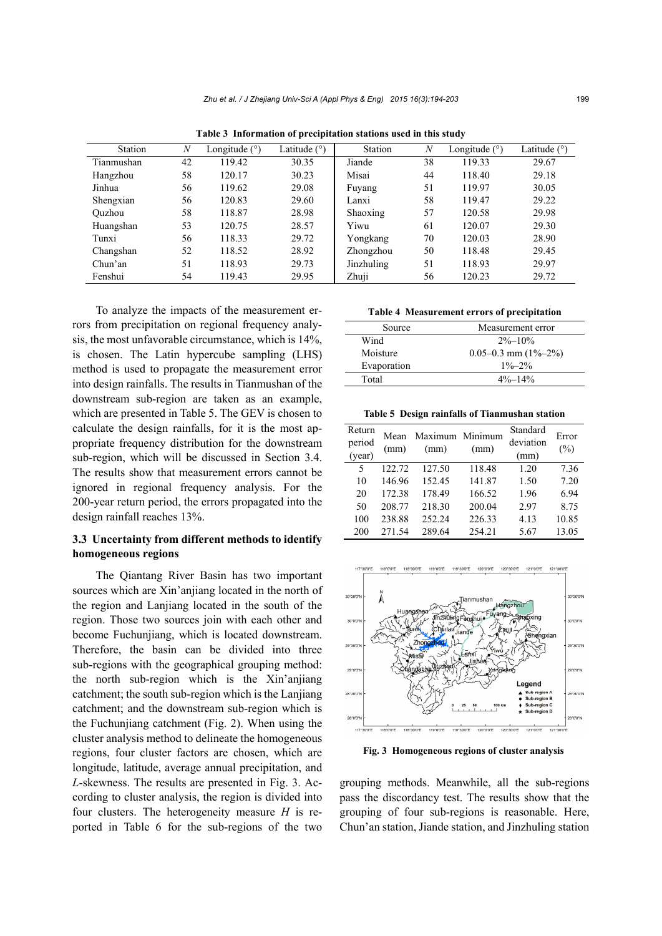| Station    | $\boldsymbol{N}$ | Longitude $(°)$ | Latitude $(°)$ | Station    | N  | Longitude $(°)$ | Latitude $(°)$ |
|------------|------------------|-----------------|----------------|------------|----|-----------------|----------------|
| Tianmushan | 42               | 119.42          | 30.35          | Jiande     | 38 | 119.33          | 29.67          |
| Hangzhou   | 58               | 120.17          | 30.23          | Misai      | 44 | 118.40          | 29.18          |
| Jinhua     | 56               | 119.62          | 29.08          | Fuyang     | 51 | 119.97          | 30.05          |
| Shengxian  | 56               | 120.83          | 29.60          | Lanxi      | 58 | 119.47          | 29.22          |
| Ouzhou     | 58               | 118.87          | 28.98          | Shaoxing   | 57 | 120.58          | 29.98          |
| Huangshan  | 53               | 120.75          | 28.57          | Yiwu       | 61 | 120.07          | 29.30          |
| Tunxi      | 56               | 118.33          | 29.72          | Yongkang   | 70 | 120.03          | 28.90          |
| Changshan  | 52               | 118.52          | 28.92          | Zhongzhou  | 50 | 118.48          | 29.45          |
| Chun'an    | 51               | 118.93          | 29.73          | Jinzhuling | 51 | 118.93          | 29.97          |
| Fenshui    | 54               | 119.43          | 29.95          | Zhuji      | 56 | 120.23          | 29.72          |

**Table 3 Information of precipitation stations used in this study**

To analyze the impacts of the measurement errors from precipitation on regional frequency analysis, the most unfavorable circumstance, which is 14%, is chosen. The Latin hypercube sampling (LHS) method is used to propagate the measurement error into design rainfalls. The results in Tianmushan of the downstream sub-region are taken as an example, which are presented in Table 5. The GEV is chosen to calculate the design rainfalls, for it is the most appropriate frequency distribution for the downstream sub-region, which will be discussed in Section 3.4. The results show that measurement errors cannot be ignored in regional frequency analysis. For the 200-year return period, the errors propagated into the design rainfall reaches 13%.

## **3.3 Uncertainty from different methods to identify homogeneous regions**

The Qiantang River Basin has two important sources which are Xin'aniiang located in the north of the region and Lanjiang located in the south of the region. Those two sources join with each other and become Fuchunjiang, which is located downstream. Therefore, the basin can be divided into three sub-regions with the geographical grouping method: the north sub-region which is the Xin'anjiang catchment; the south sub-region which is the Lanjiang catchment; and the downstream sub-region which is the Fuchunjiang catchment (Fig. 2). When using the cluster analysis method to delineate the homogeneous regions, four cluster factors are chosen, which are longitude, latitude, average annual precipitation, and *L*-skewness. The results are presented in Fig. 3. According to cluster analysis, the region is divided into four clusters. The heterogeneity measure *H* is reported in Table 6 for the sub-regions of the two

#### **Table 4 Measurement errors of precipitation**

| Source      | Measurement error          |
|-------------|----------------------------|
| Wind        | $2\% - 10\%$               |
| Moisture    | $0.05-0.3$ mm $(1\% -2\%)$ |
| Evaporation | $1\% - 2\%$                |
| Total       | $4\% - 14\%$               |

| Table 5 Design rainfalls of Tianmushan station |  |  |  |  |  |  |
|------------------------------------------------|--|--|--|--|--|--|
|------------------------------------------------|--|--|--|--|--|--|

| Return<br>period<br>(year) | Mean<br>(mm) | Maximum<br>(mm) | Minimum<br>(mm) | Standard<br>deviation<br>(mm) | Error<br>$(\%)$ |
|----------------------------|--------------|-----------------|-----------------|-------------------------------|-----------------|
| 5                          | 122.72       | 127.50          | 118.48          | 1.20                          | 7.36            |
| 10                         | 146.96       | 152.45          | 141.87          | 1.50                          | 7.20            |
| 20                         | 172.38       | 178.49          | 166.52          | 1.96                          | 6.94            |
| 50                         | 208.77       | 218.30          | 200.04          | 2.97                          | 8.75            |
| 100                        | 238.88       | 252.24          | 226.33          | 4.13                          | 10.85           |
| 200                        | 271.54       | 289.64          | 254.21          | 5.67                          | 13.05           |



**Fig. 3 Homogeneous regions of cluster analysis**

grouping methods. Meanwhile, all the sub-regions pass the discordancy test. The results show that the grouping of four sub-regions is reasonable. Here, Chun'an station, Jiande station, and Jinzhuling station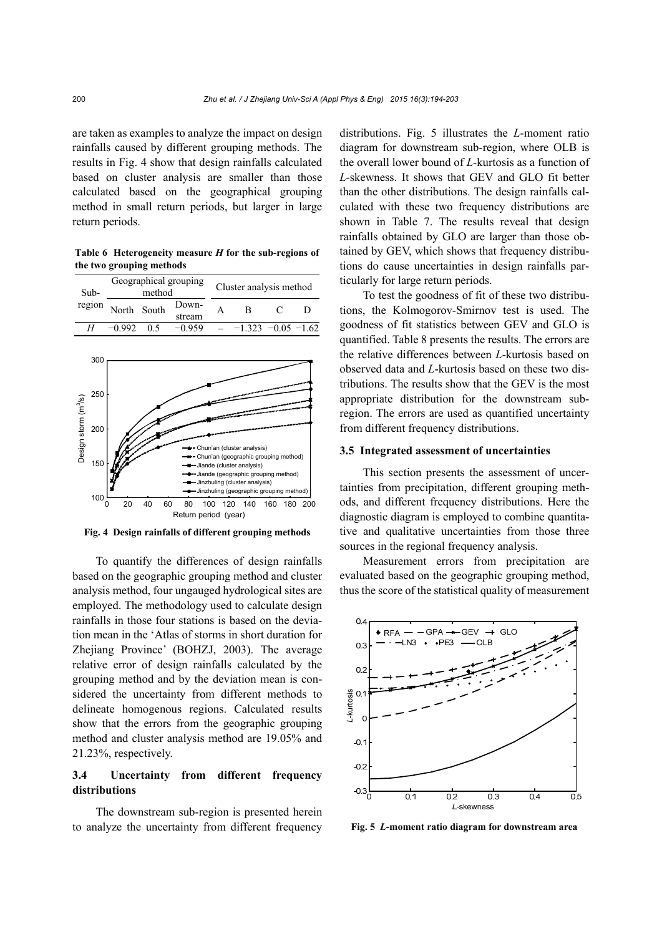are taken as examples to analyze the impact on design rainfalls caused by different grouping methods. The results in Fig. 4 show that design rainfalls calculated based on cluster analysis are smaller than those calculated based on the geographical grouping method in small return periods, but larger in large return periods.

**Table 6 Heterogeneity measure** *H* **for the sub-regions of the two grouping methods**

| Down-<br>region<br>North South<br>B<br>stream<br>$-1.323 -0.05 -1.62$<br>$-0.959$<br>$-0.992$<br>- 0.5<br>Н | Sub- | Geographical grouping<br>method |  |  |  | Cluster analysis method |  |
|-------------------------------------------------------------------------------------------------------------|------|---------------------------------|--|--|--|-------------------------|--|
|                                                                                                             |      |                                 |  |  |  |                         |  |
|                                                                                                             |      |                                 |  |  |  |                         |  |



**Fig. 4 Design rainfalls of different grouping methods**

To quantify the differences of design rainfalls based on the geographic grouping method and cluster analysis method, four ungauged hydrological sites are employed. The methodology used to calculate design rainfalls in those four stations is based on the deviation mean in the 'Atlas of storms in short duration for Zhejiang Province' (BOHZJ, 2003). The average relative error of design rainfalls calculated by the grouping method and by the deviation mean is considered the uncertainty from different methods to delineate homogenous regions. Calculated results show that the errors from the geographic grouping method and cluster analysis method are 19.05% and 21.23%, respectively.

# **3.4 Uncertainty from different frequency distributions**

The downstream sub-region is presented herein to analyze the uncertainty from different frequency distributions. Fig. 5 illustrates the *L*-moment ratio diagram for downstream sub-region, where OLB is the overall lower bound of *L-*kurtosis as a function of *L-*skewness. It shows that GEV and GLO fit better than the other distributions. The design rainfalls calculated with these two frequency distributions are shown in Table 7. The results reveal that design rainfalls obtained by GLO are larger than those obtained by GEV, which shows that frequency distributions do cause uncertainties in design rainfalls particularly for large return periods.

To test the goodness of fit of these two distributions, the Kolmogorov-Smirnov test is used. The goodness of fit statistics between GEV and GLO is quantified. Table 8 presents the results. The errors are the relative differences between *L*-kurtosis based on observed data and *L*-kurtosis based on these two distributions. The results show that the GEV is the most appropriate distribution for the downstream subregion. The errors are used as quantified uncertainty from different frequency distributions.

#### **3.5 Integrated assessment of uncertainties**

This section presents the assessment of uncertainties from precipitation, different grouping methods, and different frequency distributions. Here the diagnostic diagram is employed to combine quantitative and qualitative uncertainties from those three sources in the regional frequency analysis.

Measurement errors from precipitation are evaluated based on the geographic grouping method, thus the score of the statistical quality of measurement



**Fig. 5** *L***-moment ratio diagram for downstream area**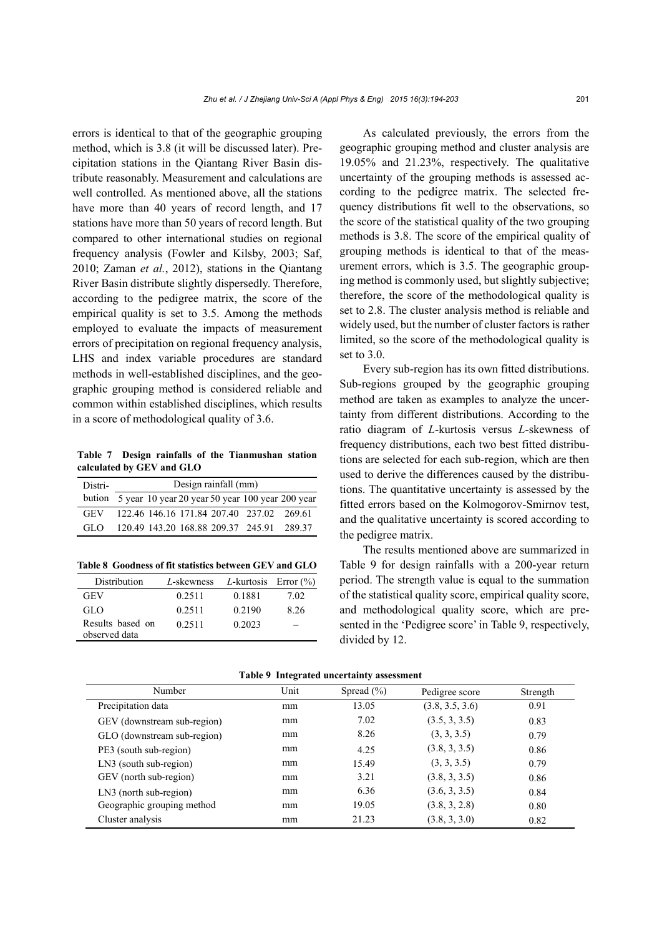errors is identical to that of the geographic grouping method, which is 3.8 (it will be discussed later). Precipitation stations in the Qiantang River Basin distribute reasonably. Measurement and calculations are well controlled. As mentioned above, all the stations have more than 40 years of record length, and 17 stations have more than 50 years of record length. But compared to other international studies on regional frequency analysis (Fowler and Kilsby, 2003; Saf, 2010; Zaman *et al.*, 2012), stations in the Qiantang River Basin distribute slightly dispersedly. Therefore, according to the pedigree matrix, the score of the empirical quality is set to 3.5. Among the methods employed to evaluate the impacts of measurement errors of precipitation on regional frequency analysis, LHS and index variable procedures are standard methods in well-established disciplines, and the geographic grouping method is considered reliable and common within established disciplines, which results in a score of methodological quality of 3.6.

**Table 7 Design rainfalls of the Tianmushan station calculated by GEV and GLO**

| Distri-    | Design rainfall (mm)                                    |  |  |  |  |
|------------|---------------------------------------------------------|--|--|--|--|
|            | bution 5 year 10 year 20 year 50 year 100 year 200 year |  |  |  |  |
| <b>GEV</b> | 122.46 146.16 171.84 207.40 237.02 269.61               |  |  |  |  |
| GLO.       | 120.49 143.20 168.88 209.37 245.91 289.37               |  |  |  |  |

**Table 8 Goodness of fit statistics between GEV and GLO**

| Distribution                      | L-skewness L-kurtosis Error $(\%)$ |        |      |
|-----------------------------------|------------------------------------|--------|------|
| <b>GEV</b>                        | 0.2511                             | 0.1881 | 7.02 |
| GLO                               | 0.2511                             | 0.2190 | 8.26 |
| Results based on<br>observed data | 0.2511                             | 0.2023 |      |

As calculated previously, the errors from the geographic grouping method and cluster analysis are 19.05% and 21.23%, respectively. The qualitative uncertainty of the grouping methods is assessed according to the pedigree matrix. The selected frequency distributions fit well to the observations, so the score of the statistical quality of the two grouping methods is 3.8. The score of the empirical quality of grouping methods is identical to that of the measurement errors, which is 3.5. The geographic grouping method is commonly used, but slightly subjective; therefore, the score of the methodological quality is set to 2.8. The cluster analysis method is reliable and widely used, but the number of cluster factors is rather limited, so the score of the methodological quality is set to 3.0.

Every sub-region has its own fitted distributions. Sub-regions grouped by the geographic grouping method are taken as examples to analyze the uncertainty from different distributions. According to the ratio diagram of *L*-kurtosis versus *L*-skewness of frequency distributions, each two best fitted distributions are selected for each sub-region, which are then used to derive the differences caused by the distributions. The quantitative uncertainty is assessed by the fitted errors based on the Kolmogorov-Smirnov test, and the qualitative uncertainty is scored according to the pedigree matrix.

The results mentioned above are summarized in Table 9 for design rainfalls with a 200-year return period. The strength value is equal to the summation of the statistical quality score, empirical quality score, and methodological quality score, which are presented in the 'Pedigree score' in Table 9, respectively, divided by 12.

| Number                      | Unit | Spread $(\% )$ | Pedigree score  | Strength |
|-----------------------------|------|----------------|-----------------|----------|
| Precipitation data          | mm   | 13.05          | (3.8, 3.5, 3.6) | 0.91     |
| GEV (downstream sub-region) | mm   | 7.02           | (3.5, 3, 3.5)   | 0.83     |
| GLO (downstream sub-region) | mm   | 8.26           | (3, 3, 3.5)     | 0.79     |
| PE3 (south sub-region)      | mm   | 4.25           | (3.8, 3, 3.5)   | 0.86     |
| $LN3$ (south sub-region)    | mm   | 15.49          | (3, 3, 3.5)     | 0.79     |
| GEV (north sub-region)      | mm   | 3.21           | (3.8, 3, 3.5)   | 0.86     |
| LN3 (north sub-region)      | mm   | 6.36           | (3.6, 3, 3.5)   | 0.84     |
| Geographic grouping method  | mm   | 19.05          | (3.8, 3, 2.8)   | 0.80     |
| Cluster analysis            | mm   | 21.23          | (3.8, 3, 3.0)   | 0.82     |

**Table 9 Integrated uncertainty assessment**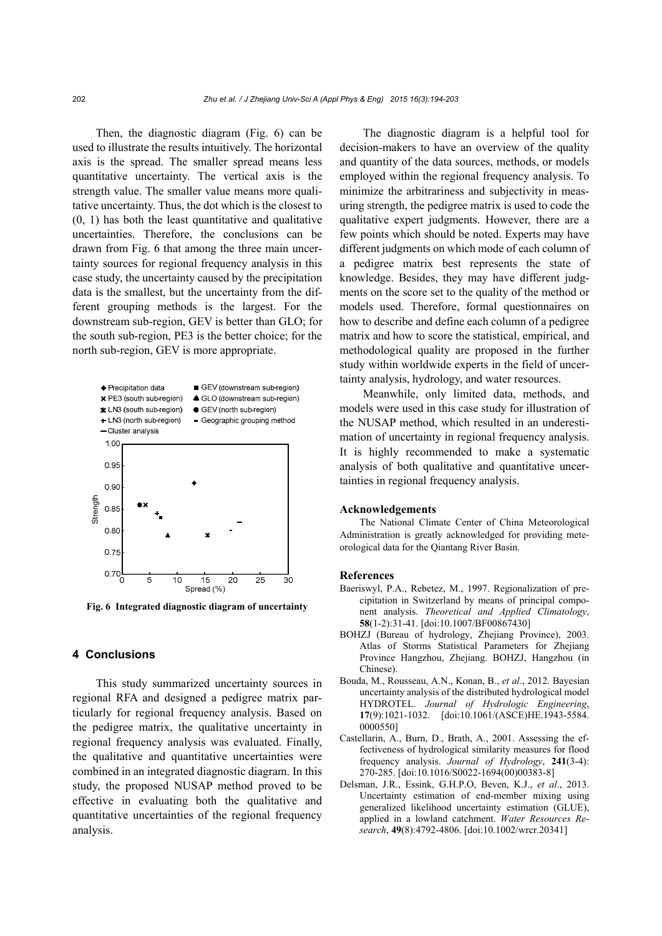Then, the diagnostic diagram (Fig. 6) can be used to illustrate the results intuitively. The horizontal axis is the spread. The smaller spread means less quantitative uncertainty. The vertical axis is the strength value. The smaller value means more qualitative uncertainty. Thus, the dot which is the closest to (0, 1) has both the least quantitative and qualitative uncertainties. Therefore, the conclusions can be drawn from Fig. 6 that among the three main uncertainty sources for regional frequency analysis in this case study, the uncertainty caused by the precipitation data is the smallest, but the uncertainty from the different grouping methods is the largest. For the downstream sub-region, GEV is better than GLO; for the south sub-region, PE3 is the better choice; for the north sub-region, GEV is more appropriate.



#### **4 Conclusions**

This study summarized uncertainty sources in regional RFA and designed a pedigree matrix particularly for regional frequency analysis. Based on the pedigree matrix, the qualitative uncertainty in regional frequency analysis was evaluated. Finally, the qualitative and quantitative uncertainties were combined in an integrated diagnostic diagram. In this study, the proposed NUSAP method proved to be effective in evaluating both the qualitative and quantitative uncertainties of the regional frequency analysis.

The diagnostic diagram is a helpful tool for decision-makers to have an overview of the quality and quantity of the data sources, methods, or models employed within the regional frequency analysis. To minimize the arbitrariness and subjectivity in measuring strength, the pedigree matrix is used to code the qualitative expert judgments. However, there are a few points which should be noted. Experts may have different judgments on which mode of each column of a pedigree matrix best represents the state of knowledge. Besides, they may have different judgments on the score set to the quality of the method or models used. Therefore, formal questionnaires on how to describe and define each column of a pedigree matrix and how to score the statistical, empirical, and methodological quality are proposed in the further study within worldwide experts in the field of uncertainty analysis, hydrology, and water resources.

Meanwhile, only limited data, methods, and models were used in this case study for illustration of the NUSAP method, which resulted in an underestimation of uncertainty in regional frequency analysis. It is highly recommended to make a systematic analysis of both qualitative and quantitative uncertainties in regional frequency analysis.

#### **Acknowledgements**

The National Climate Center of China Meteorological Administration is greatly acknowledged for providing meteorological data for the Qiantang River Basin.

#### **References**

- Baeriswyl, P.A., Rebetez, M., 1997. Regionalization of precipitation in Switzerland by means of principal component analysis. *Theoretical and Applied Climatology*, **58**(1-2):31-41. [doi:10.1007/BF00867430]
- BOHZJ (Bureau of hydrology, Zhejiang Province), 2003. Atlas of Storms Statistical Parameters for Zhejiang Province Hangzhou, Zhejiang. BOHZJ, Hangzhou (in Chinese).
- Bouda, M., Rousseau, A.N., Konan, B., *et al*., 2012. Bayesian uncertainty analysis of the distributed hydrological model HYDROTEL. *Journal of Hydrologic Engineering*, **17**(9):1021-1032. [doi:10.1061/(ASCE)HE.1943-5584. 0000550]
- Castellarin, A., Burn, D., Brath, A., 2001. Assessing the effectiveness of hydrological similarity measures for flood frequency analysis. *Journal of Hydrology*, **241**(3-4): 270-285. [doi:10.1016/S0022-1694(00)00383-8]
- Delsman, J.R., Essink, G.H.P.O, Beven, K.J., *et al*., 2013. Uncertainty estimation of end-member mixing using generalized likelihood uncertainty estimation (GLUE), applied in a lowland catchment. *Water Resources Research*, **49**(8):4792-4806. [doi:10.1002/wrcr.20341]